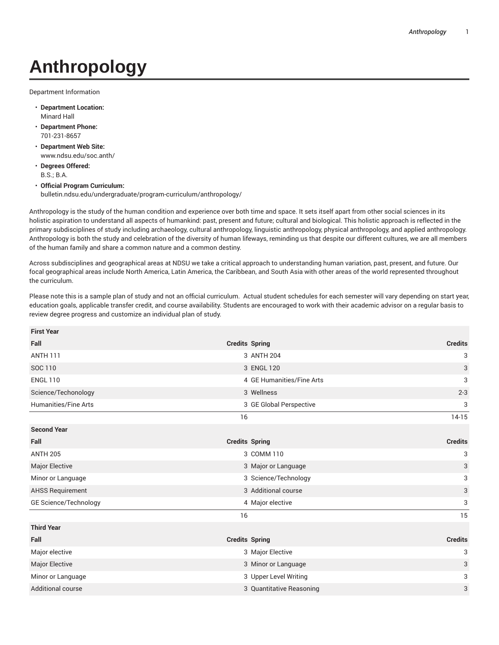## **Anthropology**

Department Information

- **Department Location:** Minard Hall
- **Department Phone:** 701-231-8657
- **Department Web Site:** www.ndsu.edu/soc.anth/
- **Degrees Offered:** B.S.; B.A.
- **Official Program Curriculum:** bulletin.ndsu.edu/undergraduate/program-curriculum/anthropology/

Anthropology is the study of the human condition and experience over both time and space. It sets itself apart from other social sciences in its holistic aspiration to understand all aspects of humankind: past, present and future; cultural and biological. This holistic approach is reflected in the primary subdisciplines of study including archaeology, cultural anthropology, linguistic anthropology, physical anthropology, and applied anthropology. Anthropology is both the study and celebration of the diversity of human lifeways, reminding us that despite our different cultures, we are all members of the human family and share a common nature and a common destiny.

Across subdisciplines and geographical areas at NDSU we take a critical approach to understanding human variation, past, present, and future. Our focal geographical areas include North America, Latin America, the Caribbean, and South Asia with other areas of the world represented throughout the curriculum.

Please note this is a sample plan of study and not an official curriculum. Actual student schedules for each semester will vary depending on start year, education goals, applicable transfer credit, and course availability. Students are encouraged to work with their academic advisor on a regular basis to review degree progress and customize an individual plan of study.

| <b>First Year</b>             |                                                  |
|-------------------------------|--------------------------------------------------|
| Fall<br><b>Credits Spring</b> | <b>Credits</b>                                   |
| <b>ANTH 111</b>               | 3 ANTH 204<br>3                                  |
| SOC 110                       | 3<br>3 ENGL 120                                  |
| <b>ENGL 110</b>               | 3<br>4 GE Humanities/Fine Arts                   |
| Science/Techonology           | 3 Wellness<br>$2 - 3$                            |
| <b>Humanities/Fine Arts</b>   | 3 GE Global Perspective<br>3                     |
| 16                            | $14-15$                                          |
| <b>Second Year</b>            |                                                  |
| Fall<br><b>Credits Spring</b> | <b>Credits</b>                                   |
| <b>ANTH 205</b>               | 3 COMM 110<br>3                                  |
| Major Elective                | $\ensuremath{\mathsf{3}}$<br>3 Major or Language |
| Minor or Language             | 3<br>3 Science/Technology                        |
| <b>AHSS Requirement</b>       | 3 Additional course<br>$\ensuremath{\mathsf{3}}$ |
| GE Science/Technology         | 3<br>4 Major elective                            |
| 16                            | 15                                               |
| <b>Third Year</b>             |                                                  |
| <b>Credits Spring</b><br>Fall | <b>Credits</b>                                   |
| Major elective                | 3 Major Elective<br>3                            |
| Major Elective                | 3<br>3 Minor or Language                         |
| Minor or Language             | 3 Upper Level Writing<br>3                       |
| <b>Additional course</b>      | 3 Quantitative Reasoning<br>3                    |
|                               |                                                  |